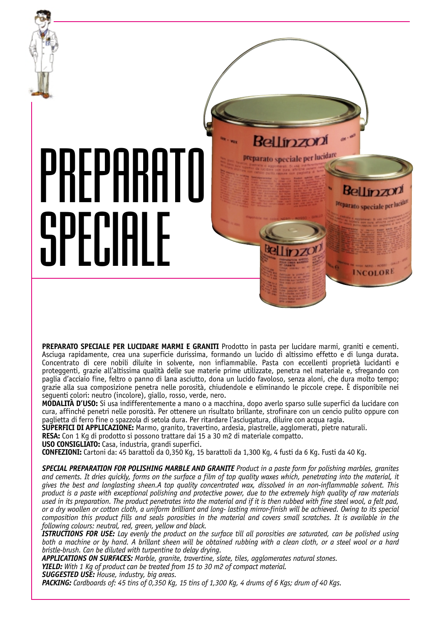

**PREPARATO SPECIALE PER LUCIDARE MARMI E GRANITI** Prodotto in pasta per lucidare marmi, graniti e cementi. Asciuga rapidamente, crea una superficie durissima, formando un lucido di altissimo effetto e di lunga durata. Concentrato di cere nobili diluite in solvente, non infiammabile. Pasta con eccellenti proprietà lucidanti e proteggenti, grazie all'altissima qualità delle sue materie prime utilizzate, penetra nel materiale e, sfregando con paglia d'acciaio fine, feltro o panno di lana asciutto, dona un lucido favoloso, senza aloni, che dura molto tempo; grazie alla sua composizione penetra nelle porosità, chiudendole e eliminando le piccole crepe. È disponibile nei seguenti colori: neutro (incolore), giallo, rosso, verde, nero.

**MODALITÀ D'USO:** Si usa indifferentemente a mano o a macchina, dopo averlo sparso sulle superfici da lucidare con cura, affinché penetri nelle porosità. Per ottenere un risultato brillante, strofinare con un cencio pulito oppure con paglietta di ferro fine o spazzola di setola dura. Per ritardare l'asciugatura, diluire con acqua ragia.

**SUPERFICI DI APPLICAZIONE:** Marmo, granito, travertino, ardesia, piastrelle, agglomerati, pietre naturali.

**RESA:** Con 1 Kg di prodotto si possono trattare dai 15 a 30 m2 di materiale compatto.

**USO CONSIGLIATO:** Casa, industria, grandi superfici.

**CONFEZIONI:** Cartoni da: 45 barattoli da 0,350 Kg, 15 barattoli da 1,300 Kg, 4 fusti da 6 Kg. Fusti da 40 Kg.

*SPECIAL PREPARATION FOR POLISHING MARBLE AND GRANITE Product in a paste form for polishing marbles, granites and cements. It dries quickly, forms on the surface a film of top quality waxes which, penetrating into the material, it gives the best and longlasting sheen.A top quality concentrated wax, dissolved in an non-inflammable solvent. This product is a paste with exceptional polishing and protective power, due to the extremely high quality of raw materials used in its preparation. The product penetrates into the material and if it is then rubbed with fine steel wool, a felt pad, or a dry woollen or cotton cloth, a uniform brilliant and long- lasting mirror-finish will be achieved. Owing to its special composition this product fills and seals porosities in the material and covers small scratches. It is available in the following colours: neutral, red, green, yellow and black.*

*ISTRUCTIONS FOR USE: Lay evenly the product on the surface till all porosities are saturated, can be polished using both a machine or by hand. A brillant sheen will be obtained rubbing with a clean cloth, or a steel wool or a hard bristle-brush. Can be diluted with turpentine to delay drying.*

*APPLICATIONS ON SURFACES: Marble, granite, travertine, slate, tiles, agglomerates natural stones.*

*YIELD: With 1 Kg of product can be treated from 15 to 30 m2 of compact material.*

*SUGGESTED USE: House, industry, big areas.*

*PACKING: Cardboards of: 45 tins of 0,350 Kg, 15 tins of 1,300 Kg, 4 drums of 6 Kgs; drum of 40 Kgs.*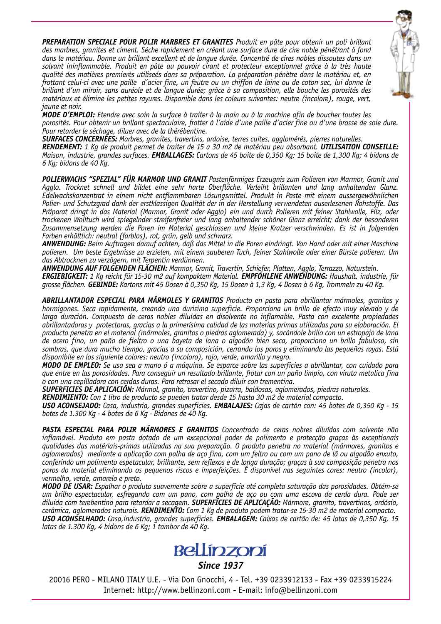*PREPARATION SPECIALE POUR POLIR MARBRES ET GRANITES Produit en pâte pour obtenir un poli brillant des marbres, granites et ciment. Séche rapidement en créant une surface dure de cire noble pénétrant à fond dans le matériau. Donne un brillant excellent et de longue durée. Concentré de cires nobles dissoutes dans un solvant ininflammable. Produit en pâte au pouvoir cirant et protecteur exceptionnel grâce à la très haute qualité des matières premierès utiliseés dans sa préparation. La préparation pénètre dans le matériau et, en frottant celui-ci avec une paille d'acier fine, un feutre ou un chiffon de laine ou de coton sec, lui donne le briliant d'un miroir, sans auréole et de longue durée; grâce à sa composition, elle bouche les porosités des matériaux et élimine les petites rayures. Disponible dans les coleurs suivantes: neutre (incolore), rouge, vert, jaune et noir.*



*MODE D'EMPLOI: Etendre avec soin la surface à traiter à la main ou à la machine afin de boucher toutes les porosités. Pour obtenir un brillant spectaculaire, frotter à l'aide d'une paille d'acier fine ou d'une brosse de soie dure. Pour retarder le séchage, diluer avec de la thérébentine.*

*SURFACES CONCERNÉES: Marbres, granites, travertins, ardoise, terres cuites, agglomérés, pierres naturelles.*

*RENDEMENT: 1 Kg de produit permet de traiter de 15 a 30 m2 de matériau peu absorbant. UTILISATION CONSEILLE: Maison, industrie, grandes surfaces. EMBALLAGES: Cartons de 45 boite de 0,350 Kg; 15 boite de 1,300 Kg; 4 bidons de 6 Kg; bidons de 40 Kg.*

*POLIERWACHS "SPEZIAL" FÜR MARMOR UND GRANIT Pastenförmiges Erzeugnis zum Polieren von Marmor, Granit und Agglo. Trocknet schnell und bildet eine sehr harte Oberfläche. Verleiht brillanten und lang anhaltenden Glanz. Edelwachskonzentrat in einem nicht entflammbaren Lösungsmittel. Produkt in Paste mit einem aussergewöhnlichen Polier- und Schutzgrad dank der erstklassigen Qualität der in der Herstellung verwendeten auserlesenen Rohstoffe. Das Präparat dringt in das Material (Marmor, Granit oder Agglo) ein und durch Polieren mit feiner Stahlwolle, Filz, oder trockenen Wolltuch wird spiegelnder streifenfreier und lang anhaltender schöner Glanz erreicht; dank der besonderen Zusammensetzung werden die Poren im Material geschlossen und kleine Kratzer verschwinden. Es ist in folgenden Farben erhältlich: neutral (farblos), rot, grün, gelb und schwarz.*

*ANWENDUNG: Beim Auftragen darauf achten, daß das Mittel in die Poren eindringt. Von Hand oder mit einer Maschine polieren. Um beste Ergebnisse zu erzielen, mit einem sauberen Tuch, feiner Stahlwolle oder einer Bürste polieren. Um das Abtrocknen zu verzögern, mit Terpentin verdünnen.*

*ANWENDUNG AUF FOLGENDEN FLÄCHEN: Marmor, Granit, Travertin, Schiefer, Platten, Agglo, Terrazzo, Naturstein. ERGIEBIGKEIT: 1 Kg reicht für 15-30 m2 auf kompaktem Material. EMPFOHLENE ANWENDUNG: Haushalt, industrie, für grosse flächen. GEBINDE: Kartons mit 45 Dosen à 0,350 Kg, 15 Dosen à 1,3 Kg, 4 Dosen à 6 Kg, Trommeln zu 40 Kg.*

*ABRILLANTADOR ESPECIAL PARA MÁRMOLES Y GRANITOS Producto en pasta para abrillantar mármoles, granitos y hormigones. Seca rapidamente, creando una durisima superficie. Proporciona un brillo de efecto muy elevado y de larga duración. Compuesto de ceras nobles diluidas en disolvente no inflamable. Pasta con excelente propiedades abrillantadoras y protectoras, gracias a la primerísima calidad de las materias primas utilizadas para su elaboración. El producto penetra en el material (mármoles, granitos o piedras aglomerada) y, sacándole brillo con un estropajo de lana de acero fino, un paño de fieltro o una bayeta de lana o algodón bien seca, proporciona un brillo fabuloso, sin sombras, que dura mucho tiempo, gracias a su composición, cerrando los poros y eliminando las pequeñas rayas. Está disponibile en los siguiente colores: neutro (incoloro), rojo, verde, amarillo y negro.*

*MODO DE EMPLEO: Se usa sea a mano ó a máquina. Se esparce sobre las superficies a abrillantar, con cuidado para que entre en las porosidades. Para conseguir un resultado brillante, frotar con un paño limpio, con viruta metalica fina o con una cepilladora con cerdas duras. Para retrasar el secado diluir con trementina.*

*SUPERFICIES DE APLICACIÓN: Mármol, granito, travertino, pizarra, baldosas, aglomerados, piedras naturales.*

*RENDIMIENTO: Con 1 litro de producto se pueden tratar desde 15 hasta 30 m2 de material compacto.*

*USO ACONSEJADO: Casa, industria, grandes superficies. EMBALAJES: Cajas de cartón con: 45 botes de 0,350 Kg - 15 botes de 1.300 Kg - 4 botes de 6 Kg - Bidones de 40 Kg.*

*PASTA ESPECIAL PARA POLIR MÁRMORES E GRANITOS Concentrado de ceras nobres diluídas com solvente não inflamável. Produto em pasta dotado de um excepcional poder de polimento e protecção graças às exceptionais qualidades das matériais-primas utilizadas na sua preparação. O produto penetra no material (mármores, granitos e aglomerados) mediante a aplicação com palha de aço fina, com um feltro ou com um pano de lã ou algodão enxuto, conferindo um polimento espetacular, brilhante, sem reflexos e de longa duração; graças à sua composição penetra nos poros do material eliminando os pequenos riscos e imperfeições. É disponivel nas seguintes cores: neutro (incolor), vermelho, verde, amarelo e preto.*

*MODO DE USAR: Espalhar o produto suavemente sobre a superficie até completa saturação das porosidades. Obtém-se um brilho espectacular, esfregando com um pano, com palha de aço ou com uma escova de cerda dura. Pode ser diluida com terebentina para retardar a secagem. SUPERFÍCIES DE APLICAÇÃO: Mármore, granito, travertinos, ardósia, cerâmica, aglomerados naturais. RENDIMENTO: Com 1 Kg de produto podem tratar-se 15-30 m2 de material compacto. USO ACONSELHADO: Casa,industria, grandes superficies. EMBALAGEM: Caixas de cartão de: 45 latas de 0,350 Kg, 15 latas de 1.300 Kg, 4 bidons de 6 Kg; 1 tambor de 40 Kg.*



*Since 1937*

20016 PERO - MILANO ITALY U.E. - Via Don Gnocchi, 4 - Tel. +39 0233912133 - Fax +39 0233915224 Internet: http://www.bellinzoni.com - E-mail: info@bellinzoni.com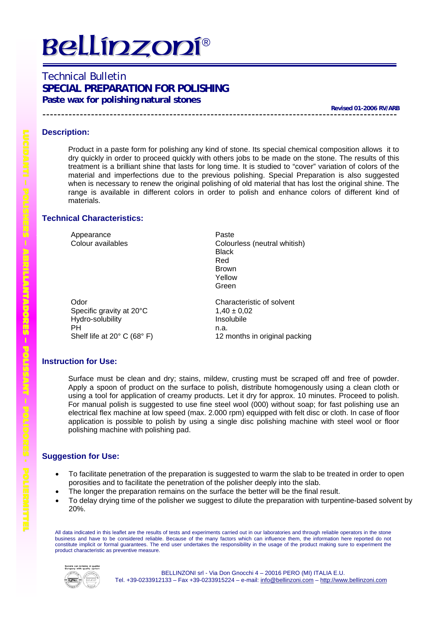# **Bellipzopí®**

## Technical Bulletin **SPECIAL PREPARATION FOR POLISHING Paste wax for polishing natural stones**

**Revised 01-2006 RV/ARB** 

## **Description:**

Product in a paste form for polishing any kind of stone. Its special chemical composition allows it to dry quickly in order to proceed quickly with others jobs to be made on the stone. The results of this treatment is a brilliant shine that lasts for long time. It is studied to "cover" variation of colors of the material and imperfections due to the previous polishing. Special Preparation is also suggested when is necessary to renew the original polishing of old material that has lost the original shine. The range is available in different colors in order to polish and enhance colors of different kind of materials.

## **Technical Characteristics:**

Appearance **Paste** 

Odor Characteristic of solvent Specific gravity at  $20^{\circ}$ C 1,40 ± 0,02 Hydro-solubility **Insolubile** PH Shelf life at 20° C (68° F)

Colour availables Colourless (neutral whitish) Black Red Brown Yellow Green

n.a. 12 months in original packing

## **Instruction for Use:**

Surface must be clean and dry; stains, mildew, crusting must be scraped off and free of powder. Apply a spoon of product on the surface to polish, distribute homogenously using a clean cloth or using a tool for application of creamy products. Let it dry for approx. 10 minutes. Proceed to polish. For manual polish is suggested to use fine steel wool (000) without soap; for fast polishing use an electrical flex machine at low speed (max. 2.000 rpm) equipped with felt disc or cloth. In case of floor application is possible to polish by using a single disc polishing machine with steel wool or floor polishing machine with polishing pad.

## **Suggestion for Use:**

- To facilitate penetration of the preparation is suggested to warm the slab to be treated in order to open porosities and to facilitate the penetration of the polisher deeply into the slab.
- The longer the preparation remains on the surface the better will be the final result.
- To delay drying time of the polisher we suggest to dilute the preparation with turpentine-based solvent by 20%.

All data indicated in this leaflet are the results of tests and experiments carried out in our laboratories and through reliable operators in the stone business and have to be considered reliable. Because of the many factors which can influence them, the information here reported do not constitute implicit or formal guarantees. The end user undertakes the responsibility in the usage of the product making sure to experiment the product characteristic as preventive measure.



L